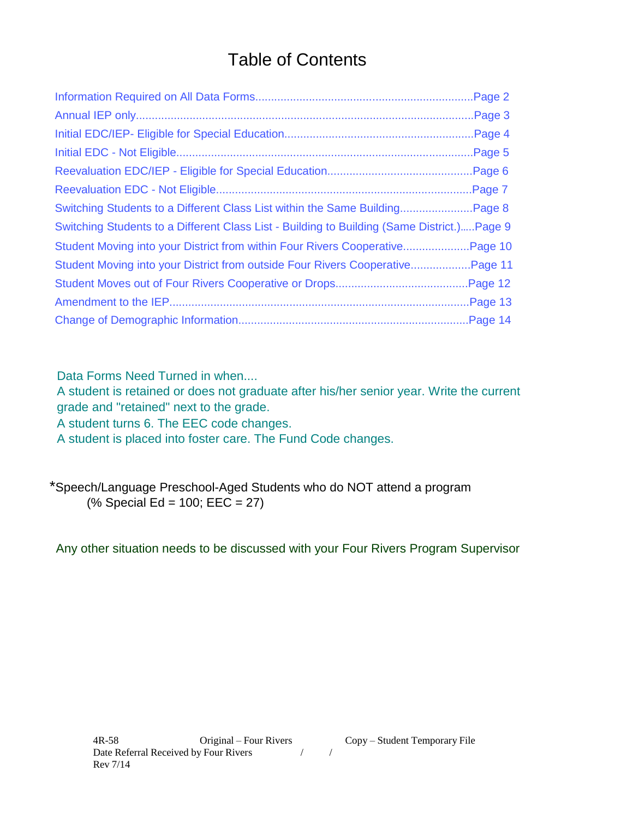# Table of Contents

|                                                                                             | Page 5 |
|---------------------------------------------------------------------------------------------|--------|
|                                                                                             |        |
|                                                                                             |        |
|                                                                                             |        |
| Switching Students to a Different Class List - Building to Building (Same District.) Page 9 |        |
| Student Moving into your District from within Four Rivers CooperativePage 10                |        |
| Student Moving into your District from outside Four Rivers CooperativePage 11               |        |
|                                                                                             |        |
|                                                                                             |        |
|                                                                                             |        |

Data Forms Need Turned in when....

A student is retained or does not graduate after his/her senior year. Write the current grade and "retained" next to the grade.

A student turns 6. The EEC code changes.

A student is placed into foster care. The Fund Code changes.

\*Speech/Language Preschool-Aged Students who do NOT attend a program (% Special Ed = 100; EEC = 27)

Any other situation needs to be discussed with your Four Rivers Program Supervisor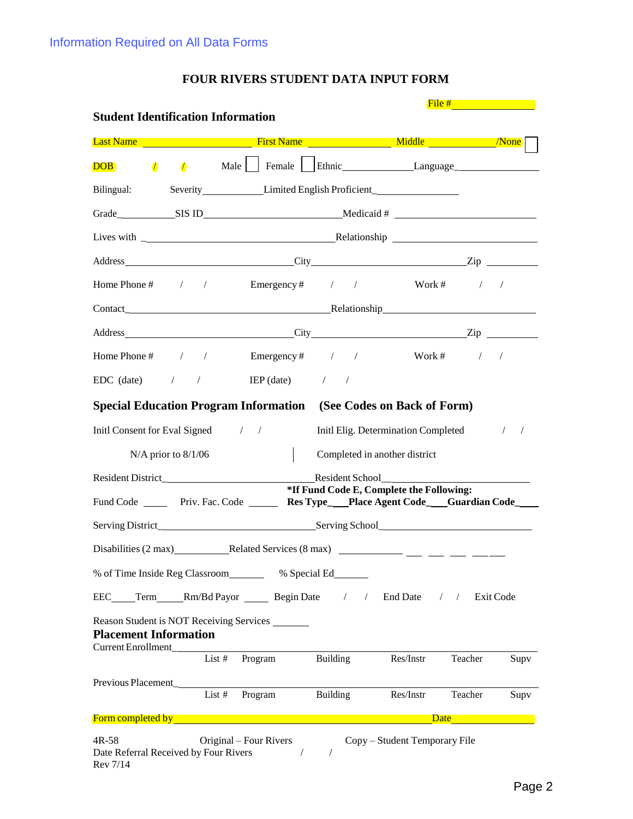|                                                              |                         |                                                                                                      |                          |                                                             | File $#$                                                                                                                                                                                                                      |      |
|--------------------------------------------------------------|-------------------------|------------------------------------------------------------------------------------------------------|--------------------------|-------------------------------------------------------------|-------------------------------------------------------------------------------------------------------------------------------------------------------------------------------------------------------------------------------|------|
| <b>Student Identification Information</b>                    |                         |                                                                                                      |                          |                                                             |                                                                                                                                                                                                                               |      |
|                                                              |                         | Last Name Mone No. 2014 - All School School State Last Name Middle No. 2014                          |                          |                                                             |                                                                                                                                                                                                                               |      |
| <b>DOB</b>                                                   |                         | <b>1 1 Male</b>   Female   Ethnic Language Language                                                  |                          |                                                             |                                                                                                                                                                                                                               |      |
| Bilingual:                                                   |                         | Severity Limited English Proficient                                                                  |                          |                                                             |                                                                                                                                                                                                                               |      |
|                                                              |                         |                                                                                                      |                          |                                                             |                                                                                                                                                                                                                               |      |
|                                                              |                         |                                                                                                      |                          |                                                             |                                                                                                                                                                                                                               |      |
|                                                              |                         |                                                                                                      |                          |                                                             |                                                                                                                                                                                                                               |      |
|                                                              |                         | Home Phone # $\frac{1}{2}$ / Emergency # $\frac{1}{2}$ / Work # $\frac{1}{2}$ /                      |                          |                                                             |                                                                                                                                                                                                                               |      |
|                                                              |                         |                                                                                                      |                          |                                                             |                                                                                                                                                                                                                               |      |
|                                                              |                         | Address <u>City</u> City <b>Called Containers</b> City <b>City Containers City Containers City C</b> |                          |                                                             |                                                                                                                                                                                                                               |      |
|                                                              |                         | Home Phone # / / Emergency # / / Work # / /                                                          |                          |                                                             |                                                                                                                                                                                                                               |      |
|                                                              |                         | $EDC$ (date) $/$ / $IEP$ (date) $/$                                                                  |                          |                                                             |                                                                                                                                                                                                                               |      |
|                                                              |                         | <b>Special Education Program Information</b> (See Codes on Back of Form)                             |                          |                                                             |                                                                                                                                                                                                                               |      |
| Initl Consent for Eval Signed / /                            |                         |                                                                                                      |                          | Initl Elig. Determination Completed                         |                                                                                                                                                                                                                               |      |
|                                                              |                         |                                                                                                      |                          |                                                             |                                                                                                                                                                                                                               |      |
|                                                              | $N/A$ prior to $8/1/06$ |                                                                                                      |                          | Completed in another district                               |                                                                                                                                                                                                                               |      |
|                                                              |                         |                                                                                                      |                          | Resident School<br>*If Fund Code E, Complete the Following: |                                                                                                                                                                                                                               |      |
|                                                              |                         | Fund Code _______ Priv. Fac. Code ________ Res Type____Place Agent Code____Guardian Code____         |                          |                                                             |                                                                                                                                                                                                                               |      |
|                                                              |                         |                                                                                                      |                          |                                                             |                                                                                                                                                                                                                               |      |
|                                                              |                         |                                                                                                      |                          |                                                             |                                                                                                                                                                                                                               |      |
|                                                              |                         | % of Time Inside Reg Classroom % Special Ed                                                          |                          |                                                             |                                                                                                                                                                                                                               |      |
|                                                              |                         | EEC____Term_____Rm/Bd Payor _________Begin Date / / End Date / / Exit Code                           |                          |                                                             |                                                                                                                                                                                                                               |      |
|                                                              |                         | Reason Student is NOT Receiving Services                                                             |                          |                                                             |                                                                                                                                                                                                                               |      |
| <b>Placement Information</b>                                 |                         |                                                                                                      |                          |                                                             |                                                                                                                                                                                                                               |      |
| Current Enrollment_                                          |                         | $List #$ Program Building                                                                            |                          | Res/Instr                                                   | Teacher                                                                                                                                                                                                                       | Supv |
|                                                              |                         |                                                                                                      |                          |                                                             |                                                                                                                                                                                                                               |      |
|                                                              |                         | $\overline{\text{List}\#}$ Program Building                                                          |                          | Res/Instr                                                   | Teacher                                                                                                                                                                                                                       | Supv |
|                                                              |                         |                                                                                                      |                          |                                                             | Date and the same of the same of the same of the same of the same of the same of the same of the same of the same of the same of the same of the same of the same of the same of the same of the same of the same of the same |      |
| $4R-58$<br>Date Referral Received by Four Rivers<br>Rev 7/14 |                         | Original – Four Rivers                                                                               | $\sqrt{2}$<br>$\sqrt{2}$ | Copy - Student Temporary File                               |                                                                                                                                                                                                                               |      |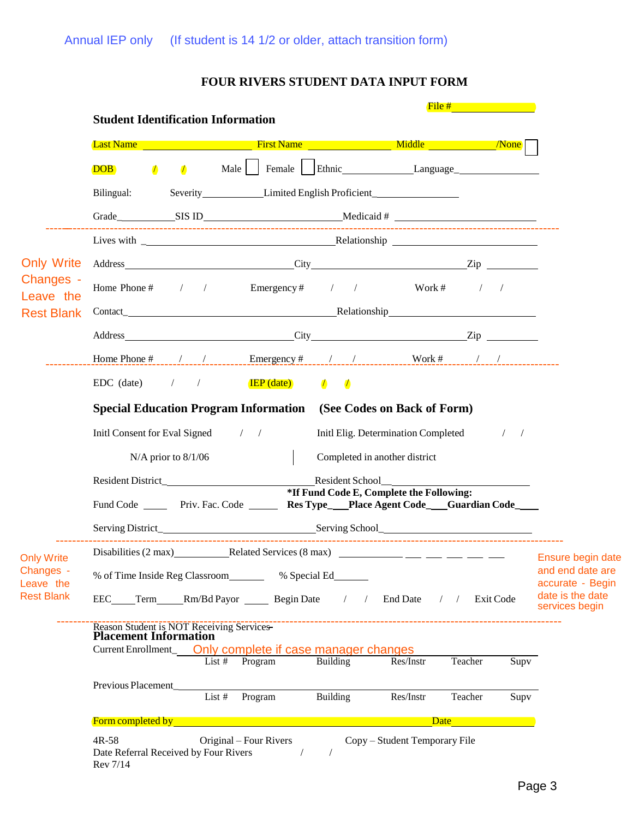|                        | <b>Student Identification Information</b>        |                                                                                         |                                          | File $#$ and $#$                    |                    |                                      |
|------------------------|--------------------------------------------------|-----------------------------------------------------------------------------------------|------------------------------------------|-------------------------------------|--------------------|--------------------------------------|
|                        |                                                  | <b>Last Name</b> Middle Manners Name Nickel Middle None None None None None None None N |                                          |                                     |                    |                                      |
|                        | $\sqrt{ }$<br>$\sqrt{ }$<br><b>DOB</b>           | Male Female Ethnic Language                                                             |                                          |                                     |                    |                                      |
|                        | Bilingual:                                       | Severity Limited English Proficient                                                     |                                          |                                     |                    |                                      |
|                        |                                                  |                                                                                         |                                          |                                     |                    |                                      |
|                        |                                                  |                                                                                         |                                          |                                     |                    |                                      |
| <b>Only Write</b>      |                                                  |                                                                                         |                                          |                                     |                    |                                      |
| Changes -<br>Leave the |                                                  | Home Phone # $\frac{1}{2}$ / Emergency # $\frac{1}{2}$ / Work # $\frac{1}{2}$ /         |                                          |                                     |                    |                                      |
| <b>Rest Blank</b>      |                                                  |                                                                                         |                                          |                                     |                    |                                      |
|                        |                                                  |                                                                                         |                                          |                                     |                    |                                      |
|                        |                                                  |                                                                                         |                                          |                                     |                    |                                      |
|                        |                                                  | EDC (date) $/$ / $IEP$ (date) $/$ /                                                     |                                          |                                     |                    |                                      |
|                        |                                                  | <b>Special Education Program Information</b> (See Codes on Back of Form)                |                                          |                                     |                    |                                      |
|                        | Initl Consent for Eval Signed / /                |                                                                                         |                                          | Initl Elig. Determination Completed | $\frac{1}{2}$      |                                      |
|                        | $N/A$ prior to $8/1/06$                          |                                                                                         | Completed in another district            |                                     |                    |                                      |
|                        |                                                  |                                                                                         |                                          |                                     |                    |                                      |
|                        |                                                  | Fund Code ______ Priv. Fac. Code ______ Res Type__Place Agent Code___Guardian Code____  | *If Fund Code E, Complete the Following: |                                     |                    |                                      |
|                        |                                                  |                                                                                         |                                          |                                     |                    |                                      |
| <b>Only Write</b>      | Disabilities (2 max)_                            | Related Services (8 max)                                                                |                                          |                                     |                    | Ensure begin date                    |
| Changes -<br>Leave the |                                                  | % of Time Inside Reg Classroom ______ % Special Ed                                      |                                          |                                     |                    | and end date are<br>accurate - Begin |
| <b>Rest Blank</b>      |                                                  | EEC Term Rm/Bd Payor Begin Date                                                         | $\sqrt{2}$                               | <b>End Date</b><br>/ / Exit Code    |                    | date is the date<br>services begin   |
|                        |                                                  | Reason Student is NOT Receiving Services-<br>Placement Information                      |                                          |                                     |                    |                                      |
|                        |                                                  | Current Enrollment_ Only complete if case manager changes<br>List $#$ Program           | <b>Building</b>                          | Teacher<br>Res/Instr                | $\overline{S}$ upv |                                      |
|                        | Previous Placement                               | List #<br>Program                                                                       | Building                                 | Res/Instr<br>Teacher                | Supv               |                                      |
|                        | <b>Form completed by</b>                         |                                                                                         |                                          | Date                                |                    |                                      |
|                        | $4R-58$<br>Date Referral Received by Four Rivers | Original – Four Rivers                                                                  |                                          | Copy – Student Temporary File       |                    |                                      |

Rev 7/14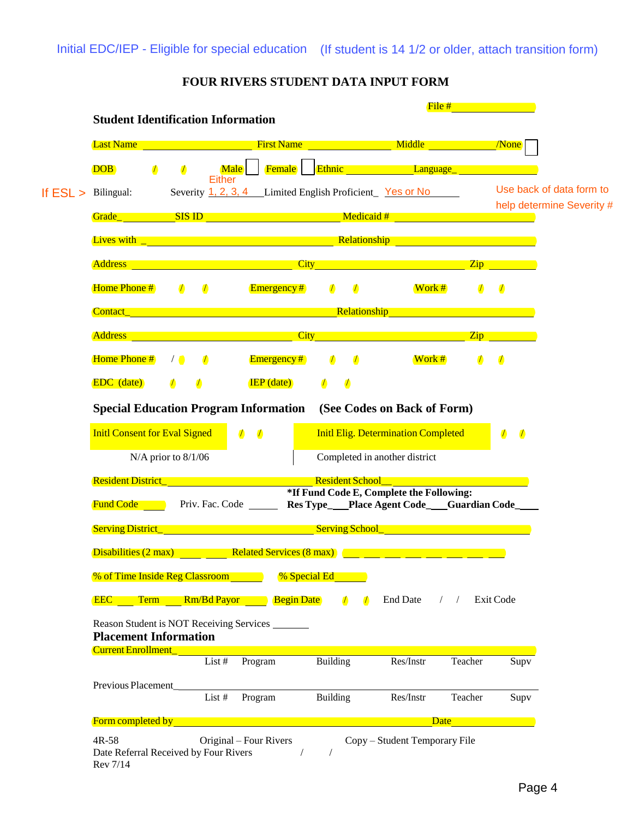|                                                                                                                                                                                                                                    |                              |                                                                                                                                                                             |                 |                                                      | File #                                                                                                                                                 |               |                                                                                                                                                                                                                                  |
|------------------------------------------------------------------------------------------------------------------------------------------------------------------------------------------------------------------------------------|------------------------------|-----------------------------------------------------------------------------------------------------------------------------------------------------------------------------|-----------------|------------------------------------------------------|--------------------------------------------------------------------------------------------------------------------------------------------------------|---------------|----------------------------------------------------------------------------------------------------------------------------------------------------------------------------------------------------------------------------------|
| <b>Student Identification Information</b>                                                                                                                                                                                          |                              |                                                                                                                                                                             |                 |                                                      |                                                                                                                                                        |               |                                                                                                                                                                                                                                  |
| <b>Last Name</b>                                                                                                                                                                                                                   |                              | <b>First Name</b>                                                                                                                                                           |                 | <u>Middle Middle None</u>                            |                                                                                                                                                        |               |                                                                                                                                                                                                                                  |
| <b>DOB</b><br>$\sqrt{ }$                                                                                                                                                                                                           | <b>Male</b><br>$\mathcal{I}$ | Female                                                                                                                                                                      |                 | <b>Ethnic Language</b>                               |                                                                                                                                                        |               |                                                                                                                                                                                                                                  |
| Bilingual:                                                                                                                                                                                                                         | Either                       | Severity 1, 2, 3, 4 Limited English Proficient Yes or No                                                                                                                    |                 |                                                      |                                                                                                                                                        |               | Use back of data form to                                                                                                                                                                                                         |
| <b>Grade</b> SIS ID <b>SIS ID</b>                                                                                                                                                                                                  |                              |                                                                                                                                                                             |                 | Medicaid #                                           | $\mathcal{L}(\mathcal{L})$ and $\mathcal{L}(\mathcal{L})$ and $\mathcal{L}(\mathcal{L})$ and $\mathcal{L}(\mathcal{L})$ and $\mathcal{L}(\mathcal{L})$ |               | help determine Severity #                                                                                                                                                                                                        |
| Lives with $\Box$ and $\Box$ and $\Box$ and $\Box$ and $\Box$ and $\Box$ and $\Box$ and $\Box$ and $\Box$                                                                                                                          |                              |                                                                                                                                                                             |                 | <b>Relationship <i>Relationship Relationship</i></b> |                                                                                                                                                        |               |                                                                                                                                                                                                                                  |
|                                                                                                                                                                                                                                    |                              |                                                                                                                                                                             |                 |                                                      |                                                                                                                                                        |               |                                                                                                                                                                                                                                  |
| <b>Address <i>Address Address</i></b>                                                                                                                                                                                              |                              |                                                                                                                                                                             |                 | <b>City City City City City City</b>                 |                                                                                                                                                        |               | $\mathbf{Zip}$                                                                                                                                                                                                                   |
| Home Phone #                                                                                                                                                                                                                       | $\sqrt{ }$<br>$\sqrt{ }$     | Emergency#                                                                                                                                                                  | $\sqrt{ }$      | $\sqrt{ }$                                           | Work #                                                                                                                                                 | $\sqrt{2}$    | $\mathcal{I}$                                                                                                                                                                                                                    |
| <b>Contact_ Contact Contact Contact Contact Contact Contact Contact Contact Contact Contact Contact Contact Contact Contact Contact Contact Contact Contact Contact Contact Contact </b>                                           |                              |                                                                                                                                                                             |                 |                                                      |                                                                                                                                                        |               |                                                                                                                                                                                                                                  |
| <b>Address</b>                                                                                                                                                                                                                     |                              | $\mathcal{L}^{\text{max}}_{\text{max}}$ and $\mathcal{L}^{\text{max}}_{\text{max}}$ and $\mathcal{L}^{\text{max}}_{\text{max}}$ and $\mathcal{L}^{\text{max}}_{\text{max}}$ |                 | <b>City City City City City City</b>                 |                                                                                                                                                        |               | $\chi$ ip and a strong strong strong strong strong strong strong strong strong strong strong strong strong strong strong strong strong strong strong strong strong strong strong strong strong strong strong strong strong stron |
| Home Phone #                                                                                                                                                                                                                       | $\sqrt{2}$<br>$\sqrt{2}$     | $E$ mergency#                                                                                                                                                               |                 | $\sqrt{2}$                                           | $Work$ #                                                                                                                                               | $\sqrt{2}$    | $\sqrt{2}$                                                                                                                                                                                                                       |
| <b>EDC</b> (date)                                                                                                                                                                                                                  | $\sqrt{2}$                   | $IEP$ (date)                                                                                                                                                                |                 |                                                      |                                                                                                                                                        |               |                                                                                                                                                                                                                                  |
| <b>Special Education Program Information</b>                                                                                                                                                                                       |                              |                                                                                                                                                                             |                 | (See Codes on Back of Form)                          |                                                                                                                                                        |               |                                                                                                                                                                                                                                  |
| <b>Initl Consent for Eval Signed</b>                                                                                                                                                                                               |                              | $\sqrt{ }$<br>$\sqrt{ }$                                                                                                                                                    |                 | <b>Initl Elig. Determination Completed</b>           |                                                                                                                                                        |               | $\sqrt{ }$<br>$\sqrt{2}$                                                                                                                                                                                                         |
| N/A prior to 8/1/06                                                                                                                                                                                                                |                              |                                                                                                                                                                             |                 | Completed in another district                        |                                                                                                                                                        |               |                                                                                                                                                                                                                                  |
|                                                                                                                                                                                                                                    |                              |                                                                                                                                                                             |                 | <b>Resident School</b>                               |                                                                                                                                                        |               |                                                                                                                                                                                                                                  |
| <b>Resident District_ Example 2014</b>                                                                                                                                                                                             |                              |                                                                                                                                                                             |                 | *If Fund Code E, Complete the Following:             |                                                                                                                                                        |               |                                                                                                                                                                                                                                  |
| <b>Fund Code</b>                                                                                                                                                                                                                   | Priv. Fac. Code              |                                                                                                                                                                             |                 | Res Type__Place Agent Code__Guardian Code_           |                                                                                                                                                        |               |                                                                                                                                                                                                                                  |
| <b>Serving District_</b>                                                                                                                                                                                                           |                              | and the state of the state of the state of the state of the state of the state of the state of the state of th                                                              |                 | <b>Serving School Serving School</b>                 |                                                                                                                                                        |               |                                                                                                                                                                                                                                  |
| Disabilities (2 max)                                                                                                                                                                                                               |                              | Related Services (8 max)                                                                                                                                                    |                 |                                                      |                                                                                                                                                        |               |                                                                                                                                                                                                                                  |
| <b>% of Time Inside Reg Classroom</b>                                                                                                                                                                                              |                              |                                                                                                                                                                             | % Special Ed    |                                                      |                                                                                                                                                        |               |                                                                                                                                                                                                                                  |
| <b>EEC</b> Term Rm/Bd Payor Begin Date                                                                                                                                                                                             |                              |                                                                                                                                                                             |                 | <b>End Date</b><br>$\sqrt{ }$                        |                                                                                                                                                        | / / Exit Code |                                                                                                                                                                                                                                  |
| Reason Student is NOT Receiving Services _______                                                                                                                                                                                   |                              |                                                                                                                                                                             |                 |                                                      |                                                                                                                                                        |               |                                                                                                                                                                                                                                  |
| <b>Placement Information</b><br><b>Current Enrollment_Wille</b>                                                                                                                                                                    |                              |                                                                                                                                                                             |                 |                                                      |                                                                                                                                                        |               |                                                                                                                                                                                                                                  |
|                                                                                                                                                                                                                                    | List $#$                     | Program                                                                                                                                                                     | <b>Building</b> | Res/Instr                                            |                                                                                                                                                        | Teacher       | Supv                                                                                                                                                                                                                             |
|                                                                                                                                                                                                                                    |                              |                                                                                                                                                                             |                 |                                                      |                                                                                                                                                        |               |                                                                                                                                                                                                                                  |
| Previous Placement                                                                                                                                                                                                                 |                              |                                                                                                                                                                             |                 |                                                      |                                                                                                                                                        |               |                                                                                                                                                                                                                                  |
| Form completed by <b>Exercise 2018 Contract Contract Contract Contract Contract Contract Contract Contract Contract Contract Contract Contract Contract Contract Contract Contract Contract Contract Contract Contract Contrac</b> | List #                       | Program                                                                                                                                                                     | Building        | Res/Instr                                            |                                                                                                                                                        | Teacher       | Supv                                                                                                                                                                                                                             |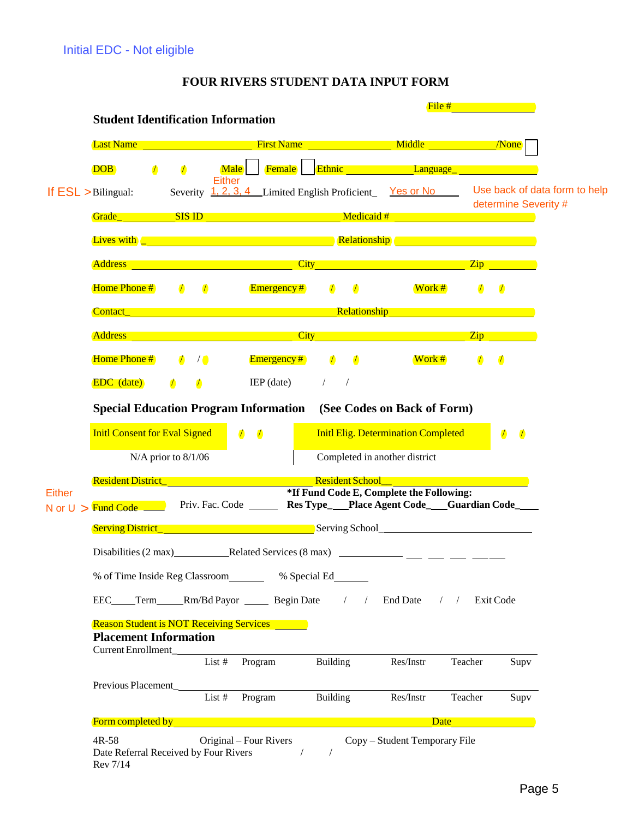| <b>Student Identification Information</b><br><b>Last Name <i>Case Last Name</i></b><br><b>DOB</b><br>$\sqrt{2}$<br>$\sqrt{2}$<br>If $ESL > \text{Bilingual}:$ | Male<br><b>Either</b><br>Severity 1, 2, 3, 4 Limited English Proficient Yes or No Use back of data form to help                                                                          | <b>First Name</b> Middle Middle <b>None</b><br><b>Female</b> Ethnic Language Ethnic |                                                                                                                                                                                                                               |
|---------------------------------------------------------------------------------------------------------------------------------------------------------------|------------------------------------------------------------------------------------------------------------------------------------------------------------------------------------------|-------------------------------------------------------------------------------------|-------------------------------------------------------------------------------------------------------------------------------------------------------------------------------------------------------------------------------|
|                                                                                                                                                               |                                                                                                                                                                                          |                                                                                     |                                                                                                                                                                                                                               |
|                                                                                                                                                               |                                                                                                                                                                                          |                                                                                     |                                                                                                                                                                                                                               |
|                                                                                                                                                               |                                                                                                                                                                                          |                                                                                     |                                                                                                                                                                                                                               |
|                                                                                                                                                               |                                                                                                                                                                                          |                                                                                     | determine Severity #                                                                                                                                                                                                          |
|                                                                                                                                                               | <b>Lives with  Letter and  C <i>C C C C C C C C C C C C C C C C C C C C C C C C C C C C C C C C</i></b>                                                                                  |                                                                                     |                                                                                                                                                                                                                               |
|                                                                                                                                                               | <b>Address <i>City City City City City City City City City</i></b>                                                                                                                       |                                                                                     | $\overline{\mathrm{Zip}}$                                                                                                                                                                                                     |
| Home Phone #<br>$\sqrt{ }$<br>$\sqrt{2}$                                                                                                                      | <b>Emergency</b> #<br>$\sqrt{ }$                                                                                                                                                         | $\sqrt{2}$<br>Work #                                                                | $\sqrt{ }$<br>$\sqrt{2}$                                                                                                                                                                                                      |
|                                                                                                                                                               | <b>Contact_ Contact Contact Contact Contact Contact Contact Contact Contact Contact Contact Contact Contact Contact Contact Contact Contact Contact Contact Contact Contact Contact </b> |                                                                                     |                                                                                                                                                                                                                               |
|                                                                                                                                                               | <b>Address City Contract Contract City City City</b>                                                                                                                                     |                                                                                     | $\mathsf{Zip}$                                                                                                                                                                                                                |
| Home Phone #<br>$\sqrt{ }$<br>$\sqrt{\bullet}$                                                                                                                | Emergency#<br>$\sqrt{ }$<br>$\sqrt{ }$                                                                                                                                                   | Work #                                                                              | $\sqrt{2}$<br>$\sqrt{ }$                                                                                                                                                                                                      |
| <b>EDC</b> (date)<br>$\sqrt{2}$<br>$\sqrt{ }$                                                                                                                 | $IEP$ (date)<br>$\sqrt{2}$<br>$\sqrt{2}$                                                                                                                                                 |                                                                                     |                                                                                                                                                                                                                               |
|                                                                                                                                                               | <b>Special Education Program Information</b> (See Codes on Back of Form)                                                                                                                 |                                                                                     |                                                                                                                                                                                                                               |
| <b>Initl Consent for Eval Signed</b>                                                                                                                          | $\sqrt{ }$<br>$\sqrt{ }$                                                                                                                                                                 | <b>Initl Elig. Determination Completed</b>                                          | $\sqrt{2}$<br>$\sqrt{ }$                                                                                                                                                                                                      |
| N/A prior to 8/1/06                                                                                                                                           |                                                                                                                                                                                          | Completed in another district                                                       |                                                                                                                                                                                                                               |
| <b>Resident District_ Example 2014</b>                                                                                                                        | <b>Resident School</b>                                                                                                                                                                   |                                                                                     |                                                                                                                                                                                                                               |
| N or $U >$ Fund Code $\_\_\_\_\$                                                                                                                              | Priv. Fac. Code _______ Res Type___Place Agent Code___Guardian Code_____                                                                                                                 | *If Fund Code E, Complete the Following:                                            |                                                                                                                                                                                                                               |
|                                                                                                                                                               |                                                                                                                                                                                          |                                                                                     |                                                                                                                                                                                                                               |
|                                                                                                                                                               |                                                                                                                                                                                          |                                                                                     |                                                                                                                                                                                                                               |
|                                                                                                                                                               | % of Time Inside Reg Classroom _______ % Special Ed______                                                                                                                                |                                                                                     |                                                                                                                                                                                                                               |
|                                                                                                                                                               | EEC_____Term______Rm/Bd Payor __________ Begin Date / /                                                                                                                                  | End Date / / Exit Code                                                              |                                                                                                                                                                                                                               |
| <b>Reason Student is NOT Receiving Services</b><br><b>Placement Information</b><br>Current Enrollment_                                                        |                                                                                                                                                                                          |                                                                                     |                                                                                                                                                                                                                               |
|                                                                                                                                                               | List # Program<br>Building                                                                                                                                                               | Res/Instr                                                                           | Teacher<br>Supv                                                                                                                                                                                                               |
| Previous Placement                                                                                                                                            | List $#$ Program<br>Building                                                                                                                                                             | Res/Instr                                                                           | Teacher<br>Supv                                                                                                                                                                                                               |
|                                                                                                                                                               | Form completed by the state of the state of the state of the state of the state of the state of the                                                                                      |                                                                                     | Date and the same of the same of the same of the same of the same of the same of the same of the same of the same of the same of the same of the same of the same of the same of the same of the same of the same of the same |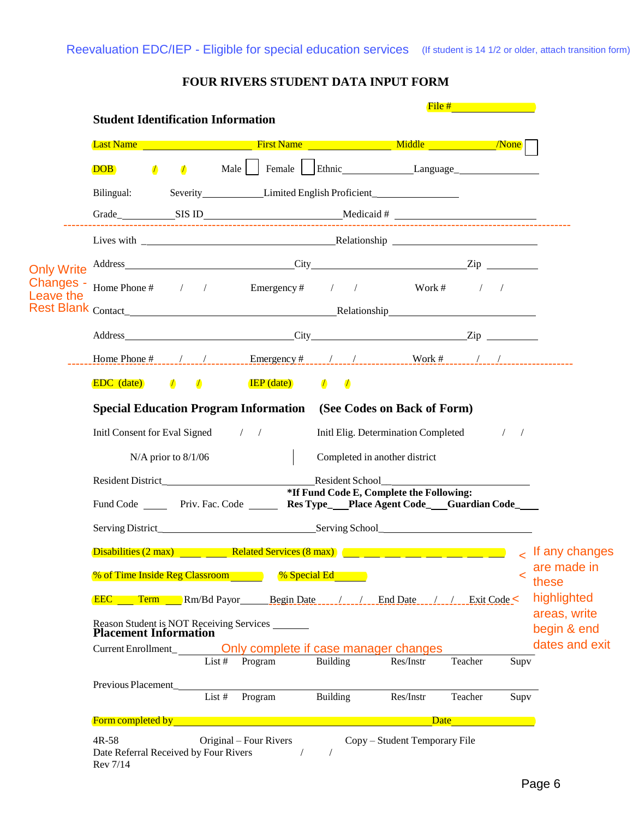|                        | <b>Student Identification Information</b>                                                           |            |                         |        |                |                                               |                                                                                  | File #  |               |                             |
|------------------------|-----------------------------------------------------------------------------------------------------|------------|-------------------------|--------|----------------|-----------------------------------------------|----------------------------------------------------------------------------------|---------|---------------|-----------------------------|
|                        |                                                                                                     |            |                         |        |                |                                               |                                                                                  |         |               |                             |
|                        | <b>DOB</b>                                                                                          | $\sqrt{ }$ | $\sqrt{2}$              |        |                |                                               | Male   Female   Ethnic Language                                                  |         |               |                             |
|                        | Bilingual:                                                                                          |            |                         |        |                |                                               | Severity_________________Limited English Proficient_____________________________ |         |               |                             |
|                        |                                                                                                     |            |                         |        |                |                                               |                                                                                  |         |               |                             |
|                        |                                                                                                     |            |                         |        |                |                                               |                                                                                  |         |               |                             |
| <b>Only Write</b>      |                                                                                                     |            |                         |        |                |                                               |                                                                                  |         |               |                             |
| Changes -<br>Leave the | Home Phone # $\frac{1}{2}$ / Emergency # / / Work # / /                                             |            |                         |        |                |                                               |                                                                                  |         |               |                             |
|                        |                                                                                                     |            |                         |        |                |                                               |                                                                                  |         |               |                             |
|                        | Address Zip                                                                                         |            |                         |        |                |                                               |                                                                                  |         |               |                             |
|                        |                                                                                                     |            |                         |        |                |                                               |                                                                                  |         |               |                             |
|                        | <b>EDC</b> (date) $\qquad \qquad$ $\qquad \qquad$ $\qquad \qquad$ <b>IEP</b> (date) $\qquad \qquad$ |            |                         |        |                |                                               |                                                                                  |         |               |                             |
|                        | Special Education Program Information (See Codes on Back of Form)                                   |            |                         |        |                |                                               |                                                                                  |         |               |                             |
|                        | Initl Consent for Eval Signed / /                                                                   |            |                         |        |                |                                               | Initl Elig. Determination Completed                                              |         | $\frac{1}{2}$ |                             |
|                        |                                                                                                     |            | $N/A$ prior to $8/1/06$ |        |                |                                               | Completed in another district                                                    |         |               |                             |
|                        |                                                                                                     |            |                         |        |                |                                               | Resident School                                                                  |         |               |                             |
|                        | Fund Code ______ Priv. Fac. Code ______ Res Type___Place Agent Code___Guardian Code____             |            |                         |        |                |                                               | *If Fund Code E, Complete the Following:                                         |         |               |                             |
|                        |                                                                                                     |            |                         |        |                |                                               |                                                                                  |         |               |                             |
|                        |                                                                                                     |            |                         |        |                |                                               |                                                                                  |         |               |                             |
|                        | <b>% of Time Inside Reg Classroom</b>                                                               |            |                         |        |                | % Special Ed <b>Special</b> Ed <b>Special</b> |                                                                                  |         | <             | are made in<br>these        |
|                        | <b>EEC Term Rm/Bd Payor Begin Date _______________ End Date ______________ Exit Code &lt;</b>       |            |                         |        |                |                                               |                                                                                  |         |               | highlighted                 |
|                        |                                                                                                     |            |                         |        |                |                                               |                                                                                  |         |               | areas, write<br>begin & end |
|                        | Current Enrollment_____________ Only complete if case manager changes                               |            |                         |        |                |                                               |                                                                                  |         |               | dates and exit              |
|                        |                                                                                                     |            |                         |        | List # Program | Building                                      | Res/Instr                                                                        | Teacher | Supv          |                             |
|                        |                                                                                                     |            |                         |        |                |                                               |                                                                                  |         |               |                             |
|                        | Previous Placement                                                                                  |            |                         | List # | Program        | Building                                      | Res/Instr                                                                        | Teacher | Supv          |                             |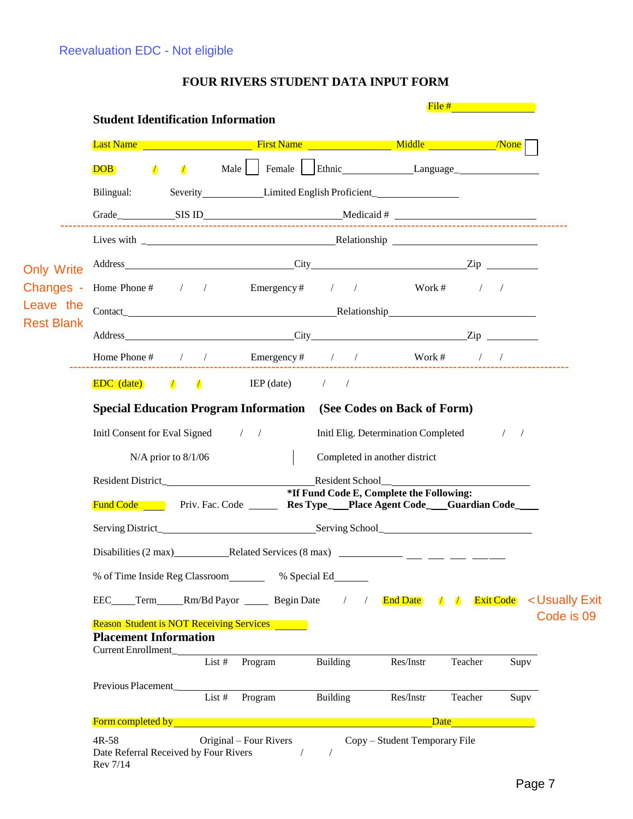|                   | <b>Student Identification Information</b>           |                         |                                                                                                        |          |                                                                      | $File #$ and $I = 1$ |               |
|-------------------|-----------------------------------------------------|-------------------------|--------------------------------------------------------------------------------------------------------|----------|----------------------------------------------------------------------|----------------------|---------------|
|                   |                                                     |                         |                                                                                                        |          |                                                                      |                      |               |
|                   | <b>DOB</b><br>$\sqrt{ }$                            |                         | A Male Female Ethnic Language                                                                          |          |                                                                      |                      |               |
|                   | Bilingual:                                          |                         | Severity Limited English Proficient                                                                    |          |                                                                      |                      |               |
|                   |                                                     |                         |                                                                                                        |          |                                                                      |                      |               |
|                   |                                                     |                         |                                                                                                        |          |                                                                      |                      |               |
| <b>Only Write</b> |                                                     |                         |                                                                                                        |          |                                                                      |                      |               |
| Changes -         |                                                     |                         | Home Phone # / / Emergency # / / Work # / /                                                            |          |                                                                      |                      |               |
| Leave the         |                                                     |                         |                                                                                                        |          |                                                                      |                      |               |
| <b>Rest Blank</b> |                                                     |                         | Address Zip                                                                                            |          |                                                                      |                      |               |
|                   |                                                     |                         | Home Phone # / / Emergency # / /                                                                       |          | ------------------------------                                       | Work # $/$ /         |               |
|                   | <b>EDC</b> (date)                                   |                         | $\sqrt{ }$ $\sqrt{ }$ IEP (date) / /                                                                   |          |                                                                      |                      |               |
|                   |                                                     | $N/A$ prior to $8/1/06$ | Special Education Program Information (See Codes on Back of Form)<br>Initl Consent for Eval Signed / / |          | Initl Elig. Determination Completed<br>Completed in another district |                      | $\frac{1}{2}$ |
|                   |                                                     |                         |                                                                                                        |          | Resident School                                                      |                      |               |
|                   |                                                     |                         | <b>Fund Code</b> Priv. Fac. Code <b>Res Type</b> Place Agent Code Guardian Code                        |          | *If Fund Code E, Complete the Following:                             |                      |               |
|                   |                                                     |                         |                                                                                                        |          |                                                                      |                      |               |
|                   |                                                     |                         |                                                                                                        |          |                                                                      |                      |               |
|                   |                                                     |                         | % of Time Inside Reg Classroom _______ % Special Ed______                                              |          |                                                                      |                      |               |
|                   |                                                     |                         | EEC____Term_____Rm/Bd Payor ________ Begin Date / /                                                    |          | End Date 1 / Exit Code < Usually Exit                                |                      |               |
|                   | <b>Placement Information</b><br>Current Enrollment_ |                         | <b>Reason Student is NOT Receiving Services</b>                                                        |          |                                                                      |                      |               |
|                   |                                                     |                         | List #<br>Program                                                                                      | Building | Res/Instr                                                            | Teacher              | Supv          |
|                   |                                                     |                         | Program<br>List $#$                                                                                    | Building | Res/Instr                                                            | Teacher              | Supv          |
|                   |                                                     |                         |                                                                                                        |          |                                                                      |                      |               |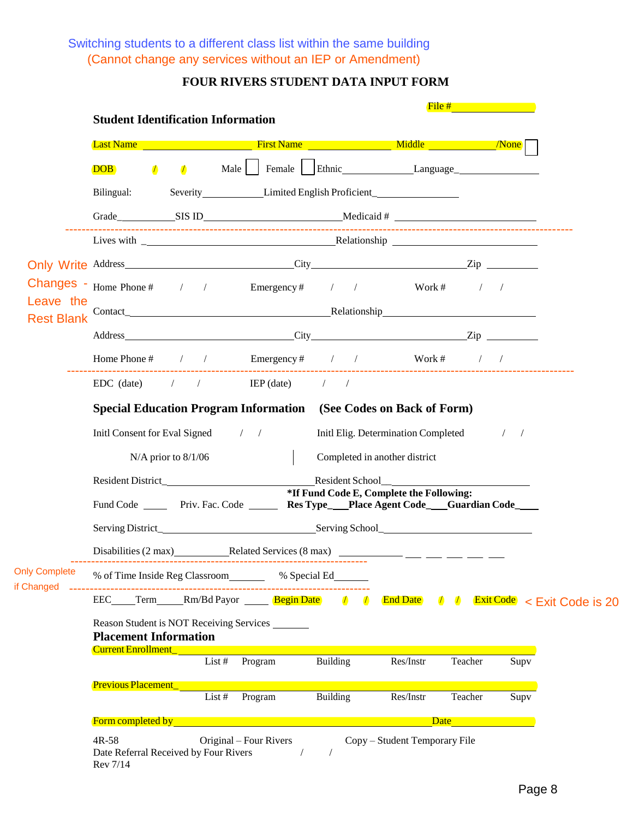Switching students to a different class list within the same building (Cannot change any services without an IEP or Amendment)

|                                    | <b>Student Identification Information</b>                                                                                                                                                                                                                                                                 |      |                  |            |                                                             | File $#$ and $#$ and $#$ and $#$ |      |
|------------------------------------|-----------------------------------------------------------------------------------------------------------------------------------------------------------------------------------------------------------------------------------------------------------------------------------------------------------|------|------------------|------------|-------------------------------------------------------------|----------------------------------|------|
|                                    | <b>Last Name</b> None November 2014 None Nickel British Name Nickel Middle None None None None None None N                                                                                                                                                                                                |      |                  |            |                                                             |                                  |      |
|                                    | <b>DOB</b><br>$\sqrt{ }$<br>$\sqrt{2}$                                                                                                                                                                                                                                                                    | Male |                  |            | Female   Ethnic Language                                    |                                  |      |
|                                    | Bilingual:                                                                                                                                                                                                                                                                                                |      |                  |            | Severity Limited English Proficient                         |                                  |      |
|                                    |                                                                                                                                                                                                                                                                                                           |      |                  |            |                                                             |                                  |      |
|                                    |                                                                                                                                                                                                                                                                                                           |      |                  |            |                                                             |                                  |      |
|                                    |                                                                                                                                                                                                                                                                                                           |      |                  |            |                                                             |                                  |      |
|                                    | <b>Changes</b> - Home Phone # $\frac{1}{2}$ / Emergency # $\frac{1}{2}$ / Work # $\frac{1}{2}$                                                                                                                                                                                                            |      |                  |            |                                                             |                                  |      |
| Leave the                          |                                                                                                                                                                                                                                                                                                           |      |                  |            |                                                             |                                  |      |
| <b>Rest Blank</b>                  | Address <u>City</u> City <b>Zip</b>                                                                                                                                                                                                                                                                       |      |                  |            |                                                             |                                  |      |
|                                    | Home Phone # / / Emergency # / / Work # / /                                                                                                                                                                                                                                                               |      |                  |            |                                                             |                                  |      |
|                                    | $EDC$ (date) $/$ $/$ $IEP$ (date) $/$                                                                                                                                                                                                                                                                     |      |                  |            |                                                             |                                  |      |
|                                    |                                                                                                                                                                                                                                                                                                           |      |                  |            |                                                             |                                  |      |
|                                    | <b>Special Education Program Information</b> (See Codes on Back of Form)                                                                                                                                                                                                                                  |      |                  |            |                                                             |                                  |      |
|                                    | Initl Consent for Eval Signed / /                                                                                                                                                                                                                                                                         |      |                  |            | Initl Elig. Determination Completed / /                     |                                  |      |
|                                    | $N/A$ prior to $8/1/06$                                                                                                                                                                                                                                                                                   |      |                  |            | Completed in another district                               |                                  |      |
|                                    |                                                                                                                                                                                                                                                                                                           |      |                  |            | Resident School<br>*If Fund Code E, Complete the Following: |                                  |      |
|                                    | Fund Code ______ Priv. Fac. Code _______ Res Type___Place Agent Code____Guardian Code____                                                                                                                                                                                                                 |      |                  |            |                                                             |                                  |      |
|                                    |                                                                                                                                                                                                                                                                                                           |      |                  |            |                                                             |                                  |      |
|                                    |                                                                                                                                                                                                                                                                                                           |      |                  |            |                                                             |                                  |      |
| <b>Only Complete</b><br>if Changed | % of Time Inside Reg Classroom ______ % Special Ed ______                                                                                                                                                                                                                                                 |      |                  |            |                                                             |                                  |      |
|                                    | EEC_____Term______Rm/Bd Payor _______ Begin Date /                                                                                                                                                                                                                                                        |      |                  | $\sqrt{ }$ | End Date $\sqrt{7}$ Exit Code $\sqrt{2}$ Exit Code is 20    |                                  |      |
|                                    | Reason Student is NOT Receiving Services<br><b>Placement Information</b>                                                                                                                                                                                                                                  |      |                  |            |                                                             |                                  |      |
|                                    | <u>Current Enrollment [1988]</u>                                                                                                                                                                                                                                                                          |      | List # $Program$ | Building   | Res/Instr                                                   | Teacher                          | Supv |
|                                    | <b>Previous Placement</b>                                                                                                                                                                                                                                                                                 |      |                  |            |                                                             |                                  |      |
|                                    |                                                                                                                                                                                                                                                                                                           |      | List # $Program$ | Building   | Res/Instr                                                   | Teacher                          | Supv |
|                                    | <b>Form completed by <i>Completed by <b>Completed</b></i> by <i>Completed</i> by <i>Completed</i> by <i>Completed</i> by <i>Completed</i> by <i>Completed</i> by <i>Completed</i> by <i>Completed</i> by <i>Completed</i> by <i>Completed</i> by <i>Completed</i> by <i>Completed</i> by <i>Compl</i></b> |      |                  |            |                                                             | Date                             |      |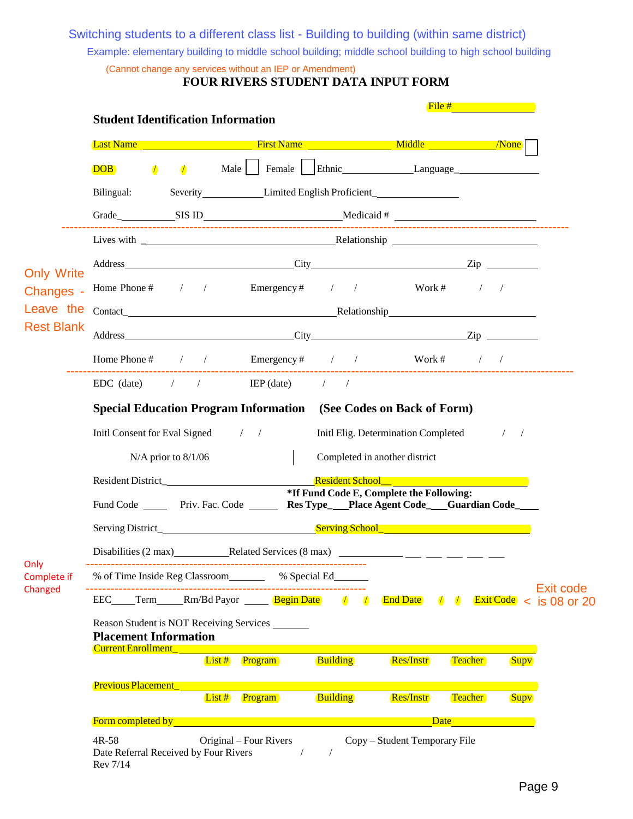Switching students to a different class list - Building to building (within same district)

Example: elementary building to middle school building; middle school building to high school building

| (Cannot change any services without an IEP or Amendment) |  |  |  |  |
|----------------------------------------------------------|--|--|--|--|
|                                                          |  |  |  |  |

|                                |                                                            |                          | <b>Student Identification Information</b>                                                 |                          |                                          | File #                   |                                                                |
|--------------------------------|------------------------------------------------------------|--------------------------|-------------------------------------------------------------------------------------------|--------------------------|------------------------------------------|--------------------------|----------------------------------------------------------------|
|                                |                                                            |                          |                                                                                           |                          |                                          |                          |                                                                |
|                                | <b>DOB</b>                                                 | $\sqrt{ }$<br>$\sqrt{ }$ | Male   Female   Ethnic Language                                                           |                          |                                          |                          |                                                                |
|                                | Bilingual:                                                 |                          | Severity Limited English Proficient                                                       |                          |                                          |                          |                                                                |
|                                |                                                            |                          | Grade SIS ID Nedicaid #                                                                   |                          |                                          |                          |                                                                |
|                                |                                                            |                          |                                                                                           |                          |                                          |                          |                                                                |
|                                |                                                            |                          |                                                                                           |                          |                                          |                          |                                                                |
| <b>Only Write</b><br>Changes - |                                                            |                          | Home Phone # $\frac{1}{2}$ / Emergency # $\frac{1}{2}$ / Work # $\frac{1}{2}$             |                          |                                          |                          | $\sqrt{2}$                                                     |
| Leave the                      |                                                            |                          |                                                                                           |                          |                                          |                          |                                                                |
| <b>Rest Blank</b>              |                                                            |                          |                                                                                           |                          |                                          |                          |                                                                |
|                                |                                                            |                          | Home Phone # / / Emergency # / / Work # / /                                               |                          |                                          |                          |                                                                |
|                                |                                                            |                          | $EDC$ (date) $/$ / $IEP$ (date) $/$                                                       |                          |                                          |                          |                                                                |
|                                |                                                            |                          | Special Education Program Information (See Codes on Back of Form)                         |                          |                                          |                          |                                                                |
|                                |                                                            |                          | Initl Consent for Eval Signed / /                                                         |                          | Initl Elig. Determination Completed      |                          | $\frac{1}{2}$                                                  |
|                                |                                                            | $N/A$ prior to $8/1/06$  |                                                                                           |                          | Completed in another district            |                          |                                                                |
|                                |                                                            |                          |                                                                                           |                          |                                          |                          |                                                                |
|                                |                                                            |                          | Fund Code ______ Priv. Fac. Code _______ Res Type___Place Agent Code____Guardian Code____ |                          | *If Fund Code E, Complete the Following: |                          |                                                                |
|                                |                                                            |                          |                                                                                           |                          |                                          |                          |                                                                |
|                                |                                                            |                          |                                                                                           |                          |                                          |                          |                                                                |
| Only<br>Complete if            |                                                            |                          | % of Time Inside Reg Classroom _______ % Special Ed_                                      |                          |                                          |                          |                                                                |
| Changed                        |                                                            |                          | EEC_____Term______Rm/Bd Payor _______ Begin Date                                          | $\sqrt{ }$<br>$\sqrt{ }$ | <b>End Date</b>                          | $\sqrt{ }$<br>$\sqrt{ }$ | Exit code<br>$\frac{\text{Exit Code}}{\text{ }}$ < is 08 or 20 |
|                                | <b>Placement Information</b><br><b>Current Enrollment_</b> |                          | Reason Student is NOT Receiving Services                                                  |                          |                                          |                          |                                                                |
|                                |                                                            |                          | $List$ #<br>Program                                                                       | <b>Building</b>          | <b>Res/Instr</b>                         | <b>Teacher</b>           | <b>Supv</b>                                                    |
|                                | <b>Previous Placement</b>                                  |                          | $List$ #<br><b>Program</b>                                                                | <b>Building</b>          | <b>Res/Instr</b>                         | <b>Teacher</b>           |                                                                |
|                                |                                                            |                          |                                                                                           |                          |                                          |                          | <b>Supv</b>                                                    |
|                                | <b>Form completed by</b>                                   |                          |                                                                                           |                          |                                          | Date                     |                                                                |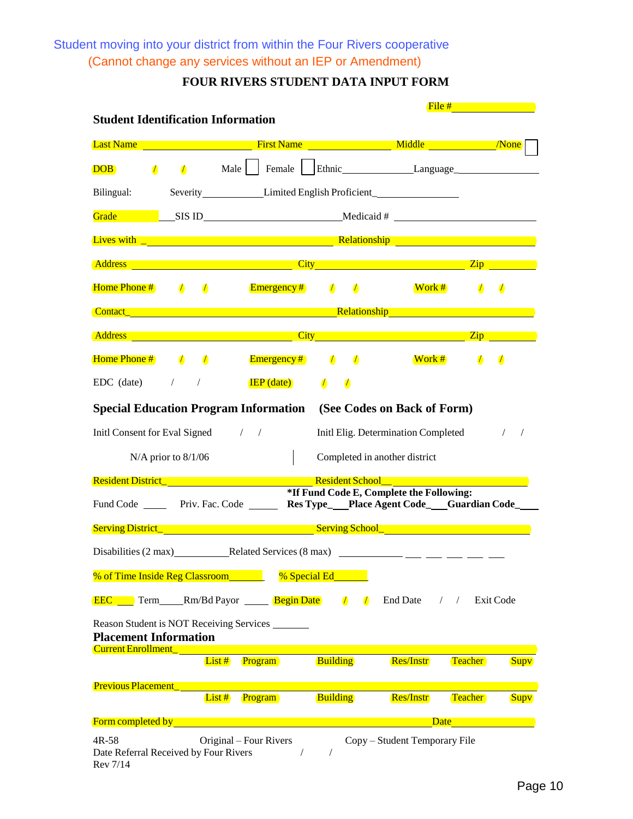Student moving into your district from within the Four Rivers cooperative (Cannot change any services without an IEP or Amendment)

| <b>Student Identification Information</b>                                                                                                                                                                                           |            |                                          |                          |                                                                                                                                                                                                                                                                                                                                                                                              | File #     |             |
|-------------------------------------------------------------------------------------------------------------------------------------------------------------------------------------------------------------------------------------|------------|------------------------------------------|--------------------------|----------------------------------------------------------------------------------------------------------------------------------------------------------------------------------------------------------------------------------------------------------------------------------------------------------------------------------------------------------------------------------------------|------------|-------------|
| Last Name All Allen Contract Contract Contract Contract Contract Contract Contract Contract Contract Contract Contract Contract Contract Contract Contract Contract Contract Contract Contract Contract Contract Contract Cont      |            |                                          |                          |                                                                                                                                                                                                                                                                                                                                                                                              |            |             |
| $\sqrt{ }$<br><b>DOB</b>                                                                                                                                                                                                            | $\sqrt{ }$ |                                          |                          | Male   Female   Ethnic Language                                                                                                                                                                                                                                                                                                                                                              |            |             |
| Bilingual:                                                                                                                                                                                                                          |            |                                          |                          | Severity Limited English Proficient                                                                                                                                                                                                                                                                                                                                                          |            |             |
|                                                                                                                                                                                                                                     |            |                                          |                          |                                                                                                                                                                                                                                                                                                                                                                                              |            |             |
| <b>Lives with Law Community Community Community Community Relationship</b> Community Community Community Community Comm                                                                                                             |            |                                          |                          |                                                                                                                                                                                                                                                                                                                                                                                              |            |             |
| <b>Address City Contract Contract Contract Contract Contract Contract Contract Contract Contract Contract Contract Contract Contract Contract Contract Contract Contract Contract Contract Contract Contract Contract Contra</b>    |            |                                          |                          |                                                                                                                                                                                                                                                                                                                                                                                              |            |             |
| Home Phone # $/$ $/$ Emergency # $/$                                                                                                                                                                                                |            |                                          |                          | Work #                                                                                                                                                                                                                                                                                                                                                                                       | $\sqrt{ }$ | $\sqrt{2}$  |
| <b>Contact Contact Contact Contact Contact Contact Contact Contact Contact Contact Contact Contact Contact Contact Contact Contact Contact Contact Contact Contact Contact Contact C</b>                                            |            |                                          |                          |                                                                                                                                                                                                                                                                                                                                                                                              |            |             |
| <u>Address Zip</u> and The City City City and The City City Company and The City Company City Company City Company and The City Company of The City Company of The City Company of The Company of The City Company of The Company o |            |                                          |                          |                                                                                                                                                                                                                                                                                                                                                                                              |            |             |
| <b>Home Phone # 1 1</b> 1 <b>Emergency # 1</b>                                                                                                                                                                                      |            |                                          | $\overline{\phantom{a}}$ | Work #                                                                                                                                                                                                                                                                                                                                                                                       | $\sqrt{ }$ | $\sqrt{2}$  |
| EDC (date)<br>$\sqrt{2}$                                                                                                                                                                                                            | $\sqrt{2}$ |                                          | $\sqrt{ }$               |                                                                                                                                                                                                                                                                                                                                                                                              |            |             |
|                                                                                                                                                                                                                                     |            | $\mathbf{IEP}\left(\mathbf{date}\right)$ | $\sqrt{2}$               |                                                                                                                                                                                                                                                                                                                                                                                              |            |             |
| <b>Special Education Program Information</b> (See Codes on Back of Form)                                                                                                                                                            |            |                                          |                          |                                                                                                                                                                                                                                                                                                                                                                                              |            |             |
| Initl Consent for Eval Signed / /                                                                                                                                                                                                   |            |                                          |                          | Initl Elig. Determination Completed                                                                                                                                                                                                                                                                                                                                                          |            | $\sqrt{2}$  |
| $N/A$ prior to $8/1/06$                                                                                                                                                                                                             |            |                                          |                          | Completed in another district                                                                                                                                                                                                                                                                                                                                                                |            |             |
| Resident District_ New York New York Resident School_Manual Contract of the Contract of the Contract of the Contract of the Contract of the Contract of the Contract of the Contract of the Contract of the Contract of the Co      |            |                                          |                          |                                                                                                                                                                                                                                                                                                                                                                                              |            |             |
| Fund Code ______ Priv. Fac. Code ______ Res Type__Place Agent Code__Guardian Code_                                                                                                                                                  |            |                                          |                          | *If Fund Code E, Complete the Following:                                                                                                                                                                                                                                                                                                                                                     |            |             |
| Serving District_ <b>Serving School_ Serving School_</b>                                                                                                                                                                            |            |                                          |                          |                                                                                                                                                                                                                                                                                                                                                                                              |            |             |
| Disabilities (2 max) Related Services (8 max)                                                                                                                                                                                       |            |                                          |                          | $\frac{1}{1} \frac{1}{1} \frac{1}{1} \frac{1}{1} \frac{1}{1} \frac{1}{1} \frac{1}{1} \frac{1}{1} \frac{1}{1} \frac{1}{1} \frac{1}{1} \frac{1}{1} \frac{1}{1} \frac{1}{1} \frac{1}{1} \frac{1}{1} \frac{1}{1} \frac{1}{1} \frac{1}{1} \frac{1}{1} \frac{1}{1} \frac{1}{1} \frac{1}{1} \frac{1}{1} \frac{1}{1} \frac{1}{1} \frac{1}{1} \frac{1}{1} \frac{1}{1} \frac{1}{1} \frac{1}{1} \frac{$ |            |             |
| % of Time Inside Reg Classroom_                                                                                                                                                                                                     |            | % Special Ed                             |                          |                                                                                                                                                                                                                                                                                                                                                                                              |            |             |
| <b>EEC</b> Term Rm/Bd Payor <b>Begin Date</b>                                                                                                                                                                                       |            |                                          | $\sqrt{ }$<br>$\sqrt{ }$ | <b>End Date</b>                                                                                                                                                                                                                                                                                                                                                                              | $\sqrt{2}$ | Exit Code   |
| Reason Student is NOT Receiving Services _______<br><b>Placement Information</b>                                                                                                                                                    |            |                                          |                          |                                                                                                                                                                                                                                                                                                                                                                                              |            |             |
| <b>Current Enrollment</b>                                                                                                                                                                                                           | $List$ #   | Program                                  | <b>Building</b>          | <b>Res/Instr</b>                                                                                                                                                                                                                                                                                                                                                                             | Teacher    | <b>Supv</b> |
| <b>Previous Placement</b>                                                                                                                                                                                                           |            |                                          |                          |                                                                                                                                                                                                                                                                                                                                                                                              |            |             |
|                                                                                                                                                                                                                                     | $List$ #   | Program                                  | <b>Building</b>          | <b>Res/Instr</b>                                                                                                                                                                                                                                                                                                                                                                             | Teacher    | <b>Supv</b> |
| <b>Form completed by</b>                                                                                                                                                                                                            |            |                                          |                          | Date                                                                                                                                                                                                                                                                                                                                                                                         |            |             |
| 4R-58<br>Date Referral Received by Four Rivers<br>Rev 7/14                                                                                                                                                                          |            | Original – Four Rivers<br>$\sqrt{2}$     |                          | Copy – Student Temporary File                                                                                                                                                                                                                                                                                                                                                                |            |             |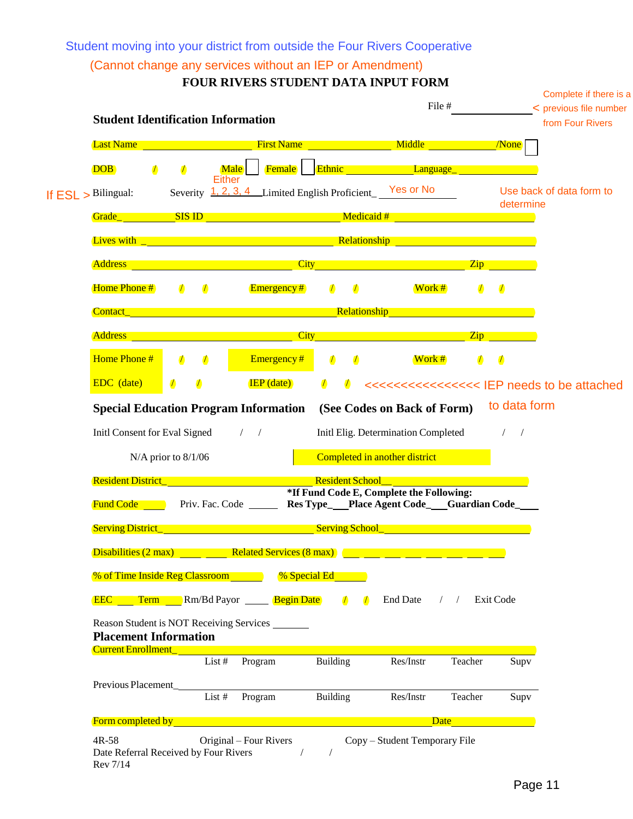Student moving into your district from outside the Four Rivers Cooperative

# (Cannot change any services without an IEP or Amendment)

|                                                     |                          | FOUR RIVERS STUDENT DATA INPUT FORM                                                                                                                                                                                                  |                          |                                                                           | File #           |                | Complete if there is a<br>< previous file number |
|-----------------------------------------------------|--------------------------|--------------------------------------------------------------------------------------------------------------------------------------------------------------------------------------------------------------------------------------|--------------------------|---------------------------------------------------------------------------|------------------|----------------|--------------------------------------------------|
| <b>Student Identification Information</b>           |                          |                                                                                                                                                                                                                                      |                          |                                                                           |                  |                | from Four Rivers                                 |
| <b>Last Name</b>                                    |                          | <b>Example 2018</b> The Second Structure of Second Structure 2019 Middle 2019 Middle                                                                                                                                                 |                          |                                                                           |                  |                |                                                  |
| <b>DOB</b>                                          | $\sqrt{ }$               | <b>Male</b><br><b>Either</b>                                                                                                                                                                                                         |                          | Female Ethnic Language                                                    |                  |                |                                                  |
| If $ESL >$ Bilingual:                               |                          | Severity 1, 2, 3, 4 Limited English Proficient Yes or No                                                                                                                                                                             |                          |                                                                           |                  | determine      | Use back of data form to                         |
|                                                     |                          | <b>Grade</b> SIS ID <b>SIS ID Medicaid</b> #                                                                                                                                                                                         |                          |                                                                           |                  |                |                                                  |
|                                                     |                          |                                                                                                                                                                                                                                      |                          |                                                                           |                  |                |                                                  |
| <b>Address</b>                                      |                          | <u>in the second control of the control of the control of the control of the control of the control of the control of the control of the control of the control of the control of the control of the control of the control of t</u> |                          |                                                                           |                  | $\mathbf{Zip}$ |                                                  |
| Home Phone #                                        | $\sqrt{ }$<br>$\sqrt{ }$ | <b>Emergency</b> #                                                                                                                                                                                                                   | $\sqrt{ }$<br>$\sqrt{ }$ | Work#                                                                     | $\sqrt{ }$       | $\sqrt{ }$     |                                                  |
| <b>Contact</b>                                      |                          | <u>Example 2001 - Contract Contract Relationship</u>                                                                                                                                                                                 |                          |                                                                           |                  |                |                                                  |
|                                                     |                          | Address and the contract of the contract of the contract of the contract of the contract of the contract of the                                                                                                                      |                          | <b>City City City City City</b>                                           | $\overline{Zip}$ |                |                                                  |
| Home Phone #                                        | $\sqrt{ }$<br>$\sqrt{ }$ | Emergency#                                                                                                                                                                                                                           | $\sqrt{2}$<br>$\sqrt{2}$ | Work #                                                                    | $\sqrt{ }$       | $\sqrt{2}$     |                                                  |
| EDC (date)                                          | $\sqrt{2}$<br>$\sqrt{2}$ | $IEP$ (date)                                                                                                                                                                                                                         | $\sqrt{ }$               |                                                                           |                  |                |                                                  |
|                                                     | $N/A$ prior to $8/1/06$  | Resident District_<br>Priv. Fac. Code _______ Res Type___Place Agent Code___Guardian Code____                                                                                                                                        | <b>Resident School</b>   | Completed in another district<br>*If Fund Code E, Complete the Following: |                  |                |                                                  |
| <b>Fund Code</b>                                    |                          |                                                                                                                                                                                                                                      |                          |                                                                           |                  |                |                                                  |
| <b>Serving District</b>                             |                          | and the state of the state of the state of the state of the                                                                                                                                                                          | <b>Serving School_</b>   |                                                                           |                  |                |                                                  |
| Disabilities (2 max)                                |                          | Related Services (8 max)                                                                                                                                                                                                             |                          |                                                                           |                  |                |                                                  |
|                                                     |                          | % of Time Inside Reg Classroom 8 % Special Ed                                                                                                                                                                                        |                          |                                                                           |                  |                |                                                  |
|                                                     |                          | <b>EEC</b> Term Rm/Bd Payor <u>Segin Date</u>                                                                                                                                                                                        | $\sqrt{ }$<br>$\sqrt{ }$ | End Date $\frac{1}{2}$                                                    | Exit Code        |                |                                                  |
| <b>Placement Information</b><br>Current Enrollment_ |                          | Reason Student is NOT Receiving Services                                                                                                                                                                                             |                          |                                                                           |                  |                |                                                  |
|                                                     |                          | List #<br>Program                                                                                                                                                                                                                    | Building                 | Res/Instr                                                                 | Teacher          | Supv           |                                                  |
| Previous Placement                                  | List #                   | Program                                                                                                                                                                                                                              | Building                 | Res/Instr                                                                 | Teacher          | Supv           |                                                  |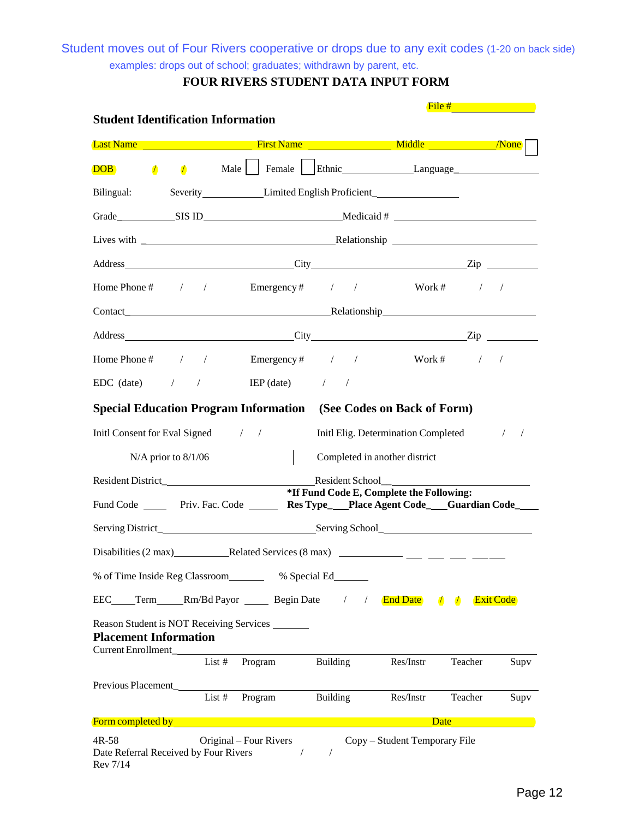Student moves out of Four Rivers cooperative or drops due to any exit codes (1-20 on back side) examples: drops out of school; graduates; withdrawn by parent, etc.

| <b>Student Identification Information</b>                    |                         |                                                                                                                                                                                                                                    |            |                               |                                          | File $#$ and $#$                                                                                                                                                                                                              |                          |
|--------------------------------------------------------------|-------------------------|------------------------------------------------------------------------------------------------------------------------------------------------------------------------------------------------------------------------------------|------------|-------------------------------|------------------------------------------|-------------------------------------------------------------------------------------------------------------------------------------------------------------------------------------------------------------------------------|--------------------------|
|                                                              |                         | <b>Last Name Contract Contract Contract Contract Contract Contract Contract Contract Contract Contract Contract Contract Contract Contract Contract Contract Contract Contract Contract Contract Contract Contract Contract Co</b> |            |                               |                                          |                                                                                                                                                                                                                               |                          |
| $\sqrt{ }$<br><b>DOB</b>                                     |                         | / Male   Female   Ethnic Language                                                                                                                                                                                                  |            |                               |                                          |                                                                                                                                                                                                                               |                          |
| Bilingual:                                                   |                         | Severity Limited English Proficient                                                                                                                                                                                                |            |                               |                                          |                                                                                                                                                                                                                               |                          |
|                                                              |                         |                                                                                                                                                                                                                                    |            |                               |                                          |                                                                                                                                                                                                                               |                          |
|                                                              |                         | Lives with <u>the contract of the contract of the Relationship</u>                                                                                                                                                                 |            |                               |                                          |                                                                                                                                                                                                                               |                          |
|                                                              |                         |                                                                                                                                                                                                                                    |            |                               |                                          |                                                                                                                                                                                                                               |                          |
|                                                              |                         | Home Phone # / / Emergency # / / Work # / /                                                                                                                                                                                        |            |                               |                                          |                                                                                                                                                                                                                               |                          |
|                                                              |                         |                                                                                                                                                                                                                                    |            |                               |                                          |                                                                                                                                                                                                                               |                          |
|                                                              |                         | Address Zip                                                                                                                                                                                                                        |            |                               |                                          |                                                                                                                                                                                                                               |                          |
|                                                              |                         | Home Phone # $/$ / Emergency # $/$ /                                                                                                                                                                                               |            |                               |                                          | Work # $/$ /                                                                                                                                                                                                                  |                          |
|                                                              |                         | $EDC$ (date) $/$ / $IEP$ (date) $/$                                                                                                                                                                                                |            |                               |                                          |                                                                                                                                                                                                                               |                          |
|                                                              |                         | <b>Special Education Program Information</b> (See Codes on Back of Form)                                                                                                                                                           |            |                               |                                          |                                                                                                                                                                                                                               |                          |
|                                                              |                         | Initl Consent for Eval Signed / /                                                                                                                                                                                                  |            |                               | Initl Elig. Determination Completed      |                                                                                                                                                                                                                               | $\sqrt{2}$<br>$\sqrt{2}$ |
|                                                              | $N/A$ prior to $8/1/06$ |                                                                                                                                                                                                                                    |            | Completed in another district |                                          |                                                                                                                                                                                                                               |                          |
|                                                              |                         |                                                                                                                                                                                                                                    |            | Resident School               |                                          |                                                                                                                                                                                                                               |                          |
|                                                              |                         | Fund Code _______ Priv. Fac. Code ________ Res Type___Place Agent Code____Guardian Code____                                                                                                                                        |            |                               | *If Fund Code E, Complete the Following: |                                                                                                                                                                                                                               |                          |
|                                                              |                         |                                                                                                                                                                                                                                    |            |                               |                                          |                                                                                                                                                                                                                               |                          |
|                                                              |                         |                                                                                                                                                                                                                                    |            |                               |                                          |                                                                                                                                                                                                                               |                          |
|                                                              |                         | % of Time Inside Reg Classroom % Special Ed                                                                                                                                                                                        |            |                               |                                          |                                                                                                                                                                                                                               |                          |
|                                                              |                         | EEC____Term_____Rm/Bd Payor _________ Begin Date                                                                                                                                                                                   |            | $\sqrt{2}$                    | <b>End Date</b> / /                      |                                                                                                                                                                                                                               | <b>Exit Code</b>         |
| <b>Placement Information</b><br>Current Enrollment_          |                         | Reason Student is NOT Receiving Services                                                                                                                                                                                           |            |                               |                                          |                                                                                                                                                                                                                               |                          |
|                                                              |                         | List # Program Building                                                                                                                                                                                                            |            |                               | Res/Instr                                | Teacher                                                                                                                                                                                                                       | Supv                     |
|                                                              |                         | Program Building<br>List $#$                                                                                                                                                                                                       |            |                               | Res/Instr                                | Teacher                                                                                                                                                                                                                       | Supv                     |
|                                                              |                         | <b>Form completed by the complete of the complete of the complete of the complete of the complete of the complete</b>                                                                                                              |            |                               |                                          | Date and the same of the same of the same of the same of the same of the same of the same of the same of the same of the same of the same of the same of the same of the same of the same of the same of the same of the same |                          |
| $4R-58$<br>Date Referral Received by Four Rivers<br>Rev 7/14 |                         | Original – Four Rivers<br>$\sqrt{2}$                                                                                                                                                                                               | $\sqrt{2}$ |                               | Copy - Student Temporary File            |                                                                                                                                                                                                                               |                          |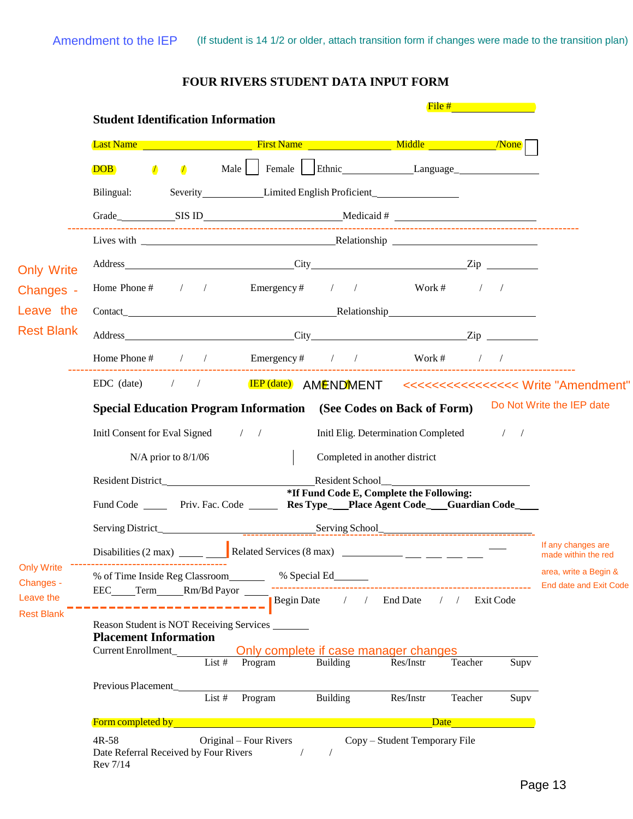|  | FOUR RIVERS STUDENT DATA INPUT FORM |  |
|--|-------------------------------------|--|
|--|-------------------------------------|--|

|                                                                  |                                                                          |                                                                                                                                                                                                                                     |                                                   | File #                                   |      |                                           |  |
|------------------------------------------------------------------|--------------------------------------------------------------------------|-------------------------------------------------------------------------------------------------------------------------------------------------------------------------------------------------------------------------------------|---------------------------------------------------|------------------------------------------|------|-------------------------------------------|--|
|                                                                  | <b>Student Identification Information</b>                                |                                                                                                                                                                                                                                     |                                                   |                                          |      |                                           |  |
|                                                                  |                                                                          | <b>East Name</b> All Allen Control Control Control Control Control Control Control Control Control Control Control Control Control Control Control Control Control Control Control Control Control Control Control Control Control  |                                                   |                                          |      |                                           |  |
|                                                                  | $\sqrt{ }$<br><b>DOB</b><br>$\sqrt{ }$                                   | Male     Female     Ethnic Language Language                                                                                                                                                                                        |                                                   |                                          |      |                                           |  |
|                                                                  | Bilingual:                                                               | Severity Limited English Proficient                                                                                                                                                                                                 |                                                   |                                          |      |                                           |  |
|                                                                  |                                                                          | Grade SIS ID Medicaid #                                                                                                                                                                                                             |                                                   |                                          |      |                                           |  |
|                                                                  |                                                                          |                                                                                                                                                                                                                                     |                                                   |                                          |      |                                           |  |
| <b>Only Write</b>                                                |                                                                          | Address <u>City</u> City <b>Zip</b>                                                                                                                                                                                                 |                                                   |                                          |      |                                           |  |
| Changes -                                                        |                                                                          | Home Phone # $\frac{1}{2}$ / Emergency # $\frac{1}{2}$ / Work # $\frac{1}{2}$ /                                                                                                                                                     |                                                   |                                          |      |                                           |  |
| Leave the                                                        |                                                                          |                                                                                                                                                                                                                                     |                                                   |                                          |      |                                           |  |
| <b>Rest Blank</b>                                                |                                                                          | Address Zip                                                                                                                                                                                                                         |                                                   |                                          |      |                                           |  |
|                                                                  | Home Phone # $\frac{1}{2}$ /                                             | ------------------------------                                                                                                                                                                                                      |                                                   | Emergency # $/$ / Work # $/$ /           |      |                                           |  |
|                                                                  |                                                                          |                                                                                                                                                                                                                                     |                                                   |                                          |      |                                           |  |
|                                                                  |                                                                          | <b>Special Education Program Information</b> (See Codes on Back of Form)                                                                                                                                                            |                                                   |                                          |      | Do Not Write the IEP date                 |  |
|                                                                  |                                                                          | Initl Consent for Eval Signed / /                                                                                                                                                                                                   |                                                   | Initl Elig. Determination Completed / /  |      |                                           |  |
|                                                                  | $N/A$ prior to $8/1/06$                                                  |                                                                                                                                                                                                                                     | Completed in another district                     |                                          |      |                                           |  |
|                                                                  |                                                                          |                                                                                                                                                                                                                                     |                                                   |                                          |      |                                           |  |
|                                                                  |                                                                          | Fund Code _______ Priv. Fac. Code ________ Res Type____Place Agent Code____Guardian Code_____                                                                                                                                       |                                                   | *If Fund Code E, Complete the Following: |      |                                           |  |
|                                                                  |                                                                          |                                                                                                                                                                                                                                     |                                                   |                                          |      |                                           |  |
| <b>Only Write</b><br>Changes -<br>Leave the<br><b>Rest Blank</b> |                                                                          |                                                                                                                                                                                                                                     |                                                   |                                          |      | If any changes are<br>made within the red |  |
|                                                                  |                                                                          |                                                                                                                                                                                                                                     |                                                   |                                          |      | area, write a Begin &                     |  |
|                                                                  | EEC____Term_____Rm/Bd Payor                                              |                                                                                                                                                                                                                                     |                                                   | Begin Date / / End Date / / Exit Code    |      | <b>End date and Exit Code</b>             |  |
|                                                                  | Reason Student is NOT Receiving Services<br><b>Placement Information</b> |                                                                                                                                                                                                                                     |                                                   |                                          |      |                                           |  |
|                                                                  | Current Enrollment_                                                      | Program<br>List $#$                                                                                                                                                                                                                 | Only complete if case manager changes<br>Building | Res/Instr<br>Teacher                     | Supv |                                           |  |
|                                                                  | Previous Placement                                                       |                                                                                                                                                                                                                                     |                                                   |                                          |      |                                           |  |
|                                                                  |                                                                          | Program<br>List #                                                                                                                                                                                                                   | Building                                          | Res/Instr<br>Teacher                     | Supv |                                           |  |
|                                                                  |                                                                          | Form completed by <b>Example 2008</b> Service Company of the Company of the Company of the Company of the Company of the Company of the Company of the Company of the Company of the Company of the Company of the Company of the C |                                                   | Date                                     |      |                                           |  |
|                                                                  | $4R-58$<br>Date Referral Received by Four Rivers<br>Rev 7/14             | Original – Four Rivers<br>$\sqrt{2}$                                                                                                                                                                                                | $\sqrt{2}$                                        | Copy - Student Temporary File            |      |                                           |  |